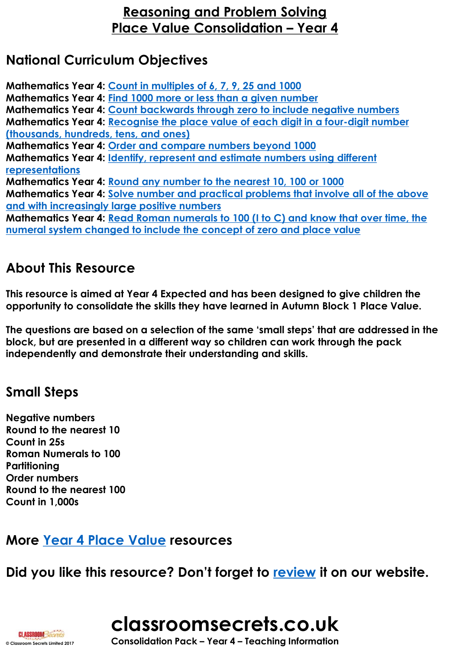## **National Curriculum Objectives**

**Mathematics Year 4: [Count in multiples of 6, 7, 9, 25 and 1000](https://classroomsecrets.co.uk/objectives-filter/?fwp_objective=e797b9f8bf839ab2d0b41b6c776f9caf) Mathematics Year 4: [Find 1000 more or less than a given number](https://classroomsecrets.co.uk/objectives-filter/?fwp_objective=f830aa45fed16505be9a8819f6201ff0) Mathematics Year 4: [Count backwards through zero to include negative numbers](https://classroomsecrets.co.uk/objectives-filter/?fwp_objective=fcf853b6931d0b450ba7fa92107cb1e4) [Mathematics Year 4: Recognise the place value of each digit in a four-digit number](https://classroomsecrets.co.uk/objectives-filter/?fwp_objective=845678007d8e0774db8328affe6da11e) (thousands, hundreds, tens, and ones) Mathematics Year 4: [Order and compare numbers beyond 1000](https://classroomsecrets.co.uk/objectives-filter/?fwp_objective=c113a082a5027fcdef649d9a8936345a) [Mathematics Year 4: Identify, represent and estimate numbers using different](https://classroomsecrets.co.uk/objectives-filter/?fwp_objective=10054bd0c3ae83b716d50b9a1d5f4e6e) representations Mathematics Year 4: [Round any number to the nearest 10, 100 or 1000](https://classroomsecrets.co.uk/objectives-filter/?fwp_objective=2285ab0f1c4a8e6aadc7792860f7ce95) [Mathematics Year 4: Solve number and practical problems that involve all of the above](https://classroomsecrets.co.uk/objectives-filter/?fwp_objective=e05e8f347478ecef31a6501890f45e53)  and with increasingly large positive numbers [Mathematics Year 4: Read Roman numerals to 100 \(I to C\) and know that over time, the](https://classroomsecrets.co.uk/objectives-filter/?fwp_objective=a1354487976e2629df56a2aff5149c56)  numeral system changed to include the concept of zero and place value**

## **About This Resource**

**This resource is aimed at Year 4 Expected and has been designed to give children the opportunity to consolidate the skills they have learned in Autumn Block 1 Place Value.** 

**The questions are based on a selection of the same 'small steps' that are addressed in the block, but are presented in a different way so children can work through the pack independently and demonstrate their understanding and skills.** 

## **Small Steps**

**Negative numbers Round to the nearest 10 Count in 25s Roman Numerals to 100 Partitioning Order numbers Round to the nearest 100 Count in 1,000s**

## **More [Year 4 Place Value](https://classroomsecrets.co.uk/category/maths/year-4/autumn-block-1-place-value-year-4/) resources**

**Did you like this resource? Don't forget to [review](https://classroomsecrets.co.uk/place-value-consolidation-year-4-block-1-wrm-reasoning-and-problem-solving) it on our website.**



**CLASSROOM Secrets**<br>
© Consolidation Pack – Year 4 – Teaching Information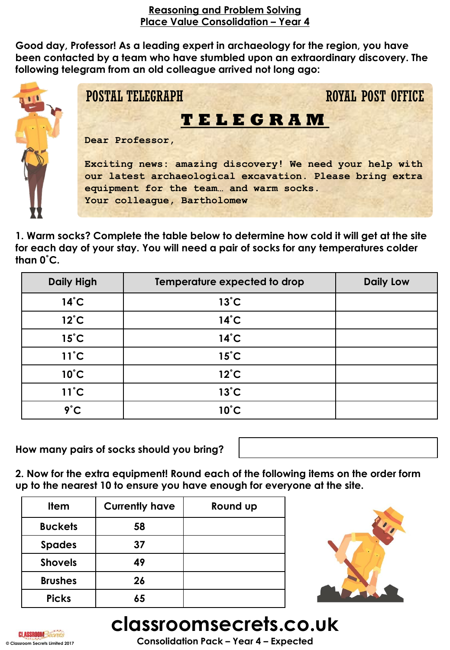**Good day, Professor! As a leading expert in archaeology for the region, you have been contacted by a team who have stumbled upon an extraordinary discovery. The following telegram from an old colleague arrived not long ago:**



**1. Warm socks? Complete the table below to determine how cold it will get at the site for each day of your stay. You will need a pair of socks for any temperatures colder than 0˚C.**

| <b>Daily High</b> | Temperature expected to drop | <b>Daily Low</b> |
|-------------------|------------------------------|------------------|
| $14^{\circ}$ C    | $13^{\circ}$ C               |                  |
| $12^{\circ}$ C    | $14^{\circ}$ C               |                  |
| $15^{\circ}$ C    | $14^{\circ}$ C               |                  |
| $11^{\circ}$ C    | $15^{\circ}$ C               |                  |
| $10^{\circ}$ C    | $12^{\circ}$ C               |                  |
| $11^{\circ}$ C    | $13^{\circ}$ C               |                  |
| $9^{\circ}$ C     | $10^{\circ}$ C               |                  |

**How many pairs of socks should you bring?** 



**2. Now for the extra equipment! Round each of the following items on the order form up to the nearest 10 to ensure you have enough for everyone at the site.**

| <b>Item</b>    | <b>Currently have</b> | Round up |
|----------------|-----------------------|----------|
| <b>Buckets</b> | 58                    |          |
| <b>Spades</b>  | 37                    |          |
| <b>Shovels</b> | 49                    |          |
| <b>Brushes</b> | 26                    |          |
| <b>Picks</b>   | 65                    |          |



# **classroomsecrets.co.uk**



**© Classroom Secrets Limited 2017 Consolidation Pack – Year 4 – Expected**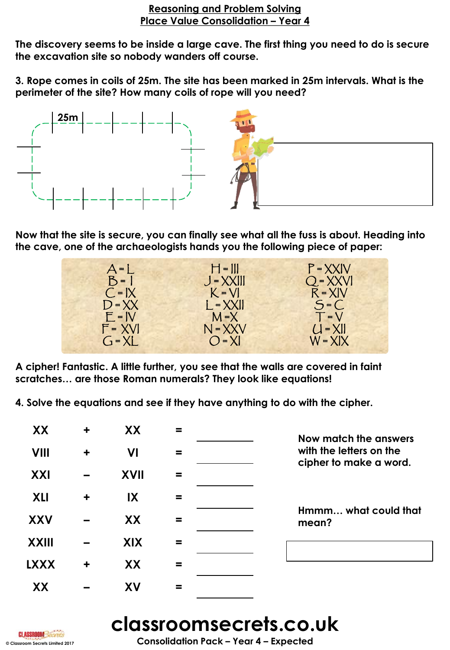**The discovery seems to be inside a large cave. The first thing you need to do is secure the excavation site so nobody wanders off course.** 

**3. Rope comes in coils of 25m. The site has been marked in 25m intervals. What is the perimeter of the site? How many coils of rope will you need?**



**Now that the site is secure, you can finally see what all the fuss is about. Heading into the cave, one of the archaeologists hands you the following piece of paper:**



**A cipher! Fantastic. A little further, you see that the walls are covered in faint scratches… are those Roman numerals? They look like equations!** 

**4. Solve the equations and see if they have anything to do with the cipher.**

| XX           | $\ddot{}$            | XX                      | = | Now match the answers                             |
|--------------|----------------------|-------------------------|---|---------------------------------------------------|
| <b>VIII</b>  | $\ddot{}$            | VI                      | = | with the letters on the<br>cipher to make a word. |
| XXI          |                      | <b>XVII</b>             |   |                                                   |
| <b>XLI</b>   | $\ddot{\phantom{1}}$ | $\mathsf{I} \mathsf{X}$ |   |                                                   |
| <b>XXV</b>   |                      | XX                      |   | Hmmm what could that<br>mean?                     |
| <b>XXIII</b> |                      | <b>XIX</b>              |   |                                                   |
| <b>LXXX</b>  | $\ddot{}$            | XX                      | = |                                                   |
| XX           |                      | XV                      |   |                                                   |

## **classroomsecrets.co.uk**

**CLASSROOM**Sed

**© Classroom Secrets Limited 2017 Consolidation Pack – Year 4 – Expected**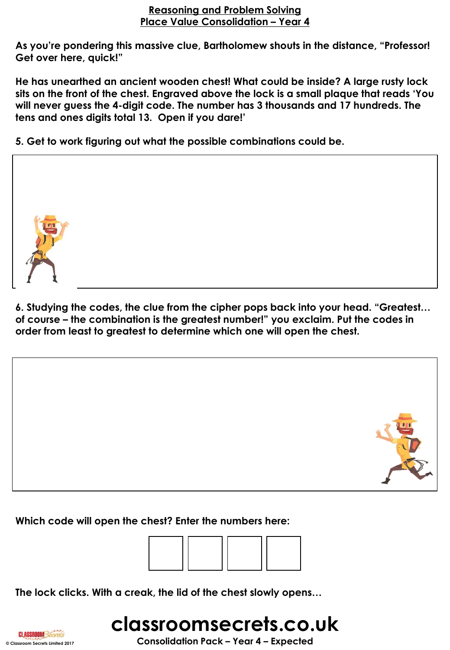**As you're pondering this massive clue, Bartholomew shouts in the distance, "Professor! Get over here, quick!"**

**He has unearthed an ancient wooden chest! What could be inside? A large rusty lock sits on the front of the chest. Engraved above the lock is a small plaque that reads 'You will never guess the 4-digit code. The number has 3 thousands and 17 hundreds. The tens and ones digits total 13. Open if you dare!'**

**5. Get to work figuring out what the possible combinations could be.** 



**6. Studying the codes, the clue from the cipher pops back into your head. "Greatest… of course – the combination is the greatest number!" you exclaim. Put the codes in order from least to greatest to determine which one will open the chest.**





**The lock clicks. With a creak, the lid of the chest slowly opens…**

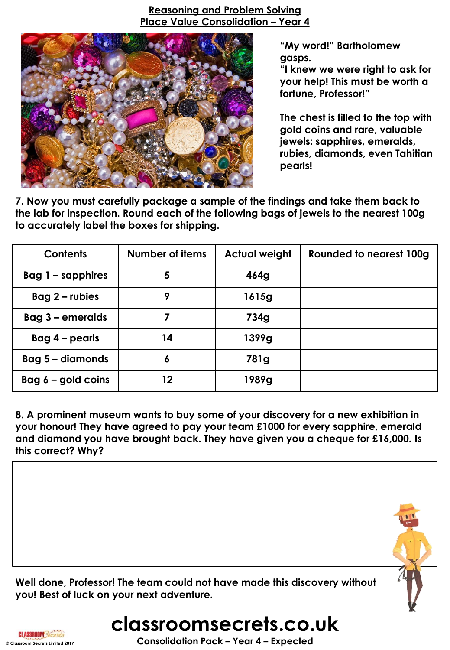

**"My word!" Bartholomew gasps.** 

**"I knew we were right to ask for your help! This must be worth a fortune, Professor!"**

**The chest is filled to the top with gold coins and rare, valuable jewels: sapphires, emeralds, rubies, diamonds, even Tahitian pearls!** 

**7. Now you must carefully package a sample of the findings and take them back to the lab for inspection. Round each of the following bags of jewels to the nearest 100g to accurately label the boxes for shipping.**

| <b>Contents</b>      | Number of items | <b>Actual weight</b> | <b>Rounded to nearest 100g</b> |
|----------------------|-----------------|----------------------|--------------------------------|
| Bag $1 -$ sapphires  | 5               | 464g                 |                                |
| $Bag 2$ – rubies     | 9               | 1615g                |                                |
| Bag 3 - emeralds     | 7               | 734g                 |                                |
| $Bag 4 - pearls$     | 14              | 1399g                |                                |
| Bag 5 - diamonds     | 6               | 781g                 |                                |
| Bag $6 -$ gold coins | 12              | 1989g                |                                |

**8. A prominent museum wants to buy some of your discovery for a new exhibition in your honour! They have agreed to pay your team £1000 for every sapphire, emerald and diamond you have brought back. They have given you a cheque for £16,000. Is this correct? Why?** 



**© Classroom Secrets Limited 2017 Consolidation Pack – Year 4 – Expected**